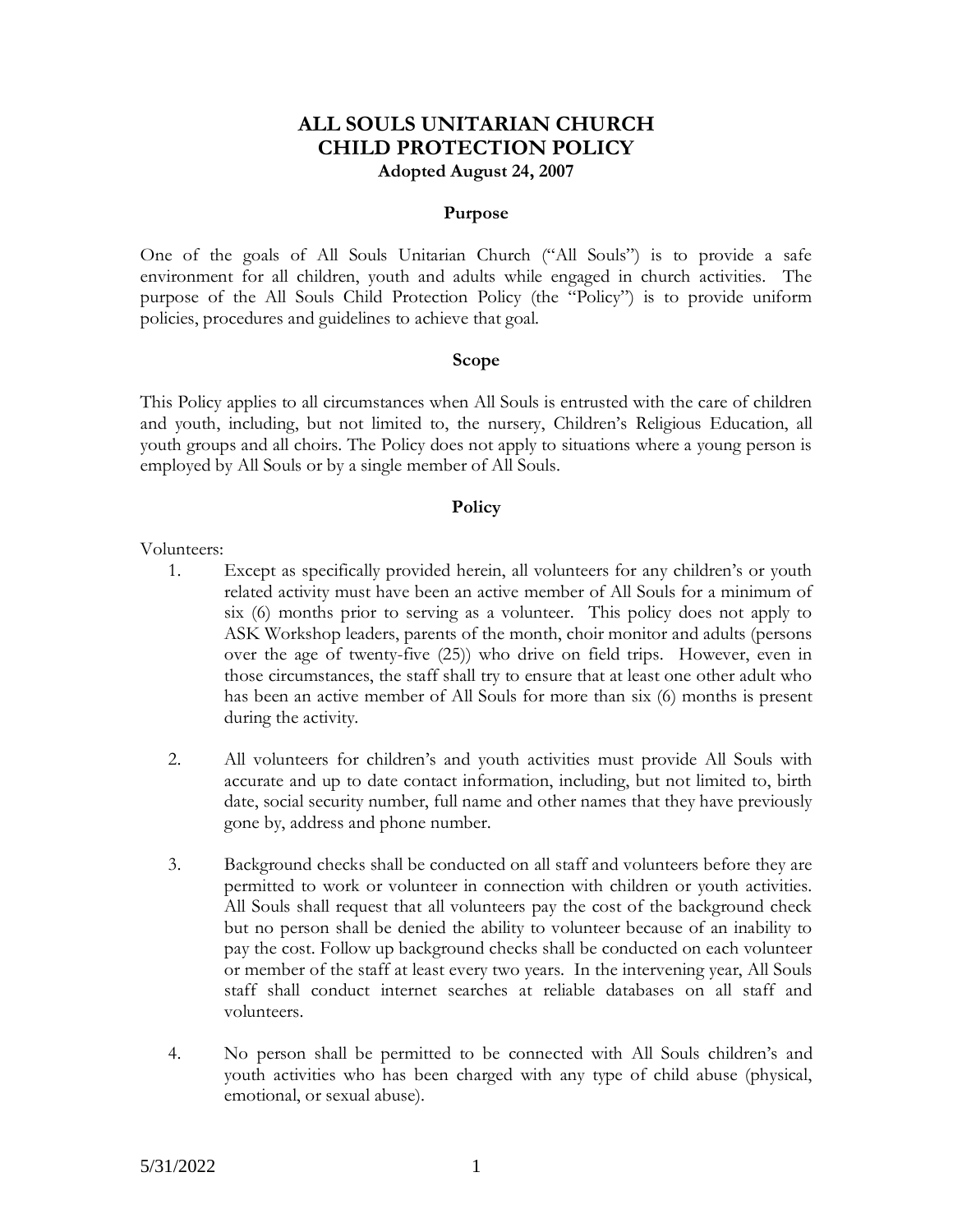## **ALL SOULS UNITARIAN CHURCH CHILD PROTECTION POLICY Adopted August 24, 2007**

## **Purpose**

One of the goals of All Souls Unitarian Church ("All Souls") is to provide a safe environment for all children, youth and adults while engaged in church activities. The purpose of the All Souls Child Protection Policy (the "Policy") is to provide uniform policies, procedures and guidelines to achieve that goal.

#### **Scope**

This Policy applies to all circumstances when All Souls is entrusted with the care of children and youth, including, but not limited to, the nursery, Children's Religious Education, all youth groups and all choirs. The Policy does not apply to situations where a young person is employed by All Souls or by a single member of All Souls.

### **Policy**

Volunteers:

- 1. Except as specifically provided herein, all volunteers for any children's or youth related activity must have been an active member of All Souls for a minimum of six (6) months prior to serving as a volunteer. This policy does not apply to ASK Workshop leaders, parents of the month, choir monitor and adults (persons over the age of twenty-five (25)) who drive on field trips. However, even in those circumstances, the staff shall try to ensure that at least one other adult who has been an active member of All Souls for more than six (6) months is present during the activity.
- 2. All volunteers for children's and youth activities must provide All Souls with accurate and up to date contact information, including, but not limited to, birth date, social security number, full name and other names that they have previously gone by, address and phone number.
- 3. Background checks shall be conducted on all staff and volunteers before they are permitted to work or volunteer in connection with children or youth activities. All Souls shall request that all volunteers pay the cost of the background check but no person shall be denied the ability to volunteer because of an inability to pay the cost. Follow up background checks shall be conducted on each volunteer or member of the staff at least every two years. In the intervening year, All Souls staff shall conduct internet searches at reliable databases on all staff and volunteers.
- 4. No person shall be permitted to be connected with All Souls children's and youth activities who has been charged with any type of child abuse (physical, emotional, or sexual abuse).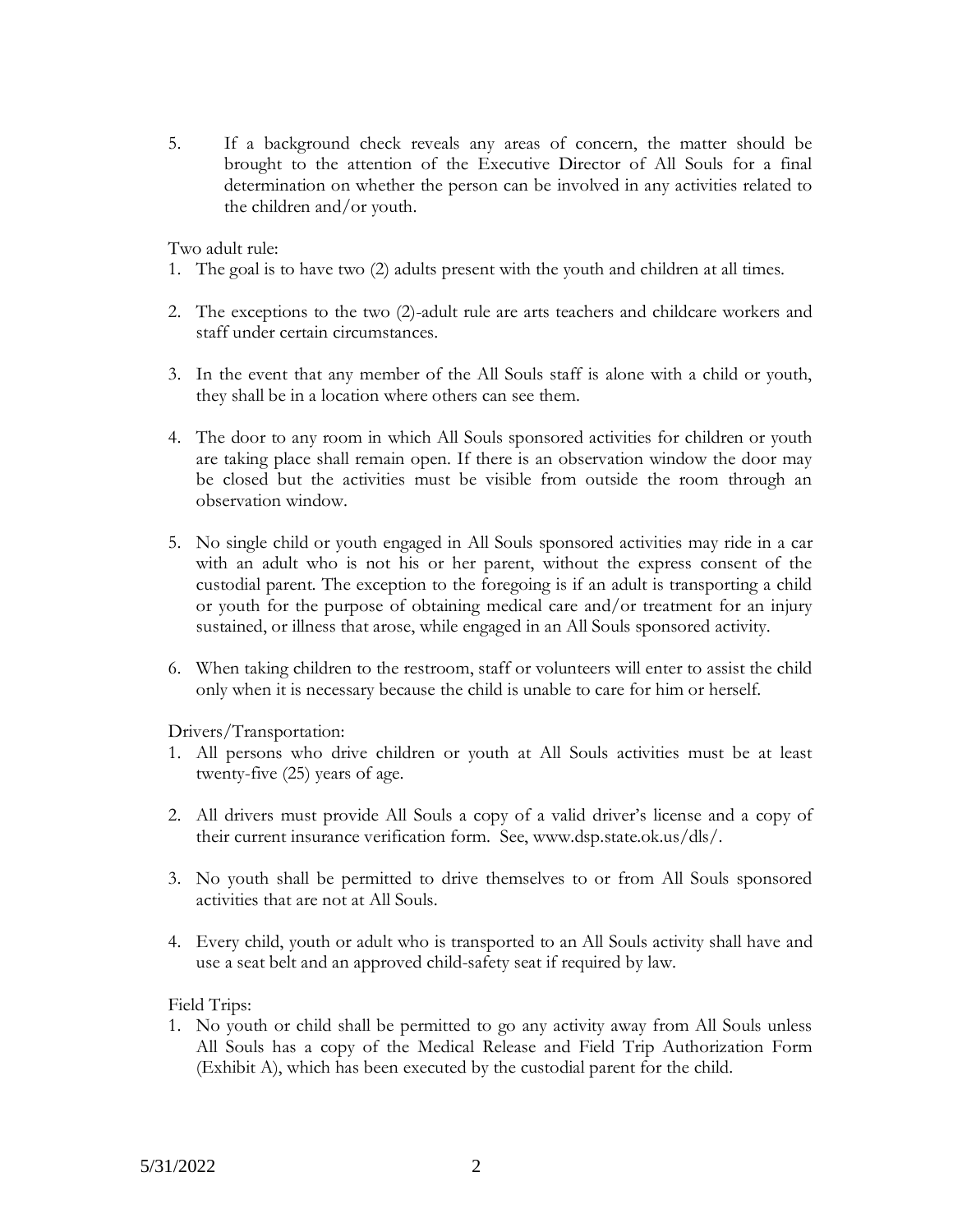5. If a background check reveals any areas of concern, the matter should be brought to the attention of the Executive Director of All Souls for a final determination on whether the person can be involved in any activities related to the children and/or youth.

Two adult rule:

- 1. The goal is to have two (2) adults present with the youth and children at all times.
- 2. The exceptions to the two (2)-adult rule are arts teachers and childcare workers and staff under certain circumstances.
- 3. In the event that any member of the All Souls staff is alone with a child or youth, they shall be in a location where others can see them.
- 4. The door to any room in which All Souls sponsored activities for children or youth are taking place shall remain open. If there is an observation window the door may be closed but the activities must be visible from outside the room through an observation window.
- 5. No single child or youth engaged in All Souls sponsored activities may ride in a car with an adult who is not his or her parent, without the express consent of the custodial parent. The exception to the foregoing is if an adult is transporting a child or youth for the purpose of obtaining medical care and/or treatment for an injury sustained, or illness that arose, while engaged in an All Souls sponsored activity.
- 6. When taking children to the restroom, staff or volunteers will enter to assist the child only when it is necessary because the child is unable to care for him or herself.

Drivers/Transportation:

- 1. All persons who drive children or youth at All Souls activities must be at least twenty-five (25) years of age.
- 2. All drivers must provide All Souls a copy of a valid driver's license and a copy of their current insurance verification form. See, www.dsp.state.ok.us/dls/.
- 3. No youth shall be permitted to drive themselves to or from All Souls sponsored activities that are not at All Souls.
- 4. Every child, youth or adult who is transported to an All Souls activity shall have and use a seat belt and an approved child-safety seat if required by law.

Field Trips:

1. No youth or child shall be permitted to go any activity away from All Souls unless All Souls has a copy of the Medical Release and Field Trip Authorization Form (Exhibit A), which has been executed by the custodial parent for the child.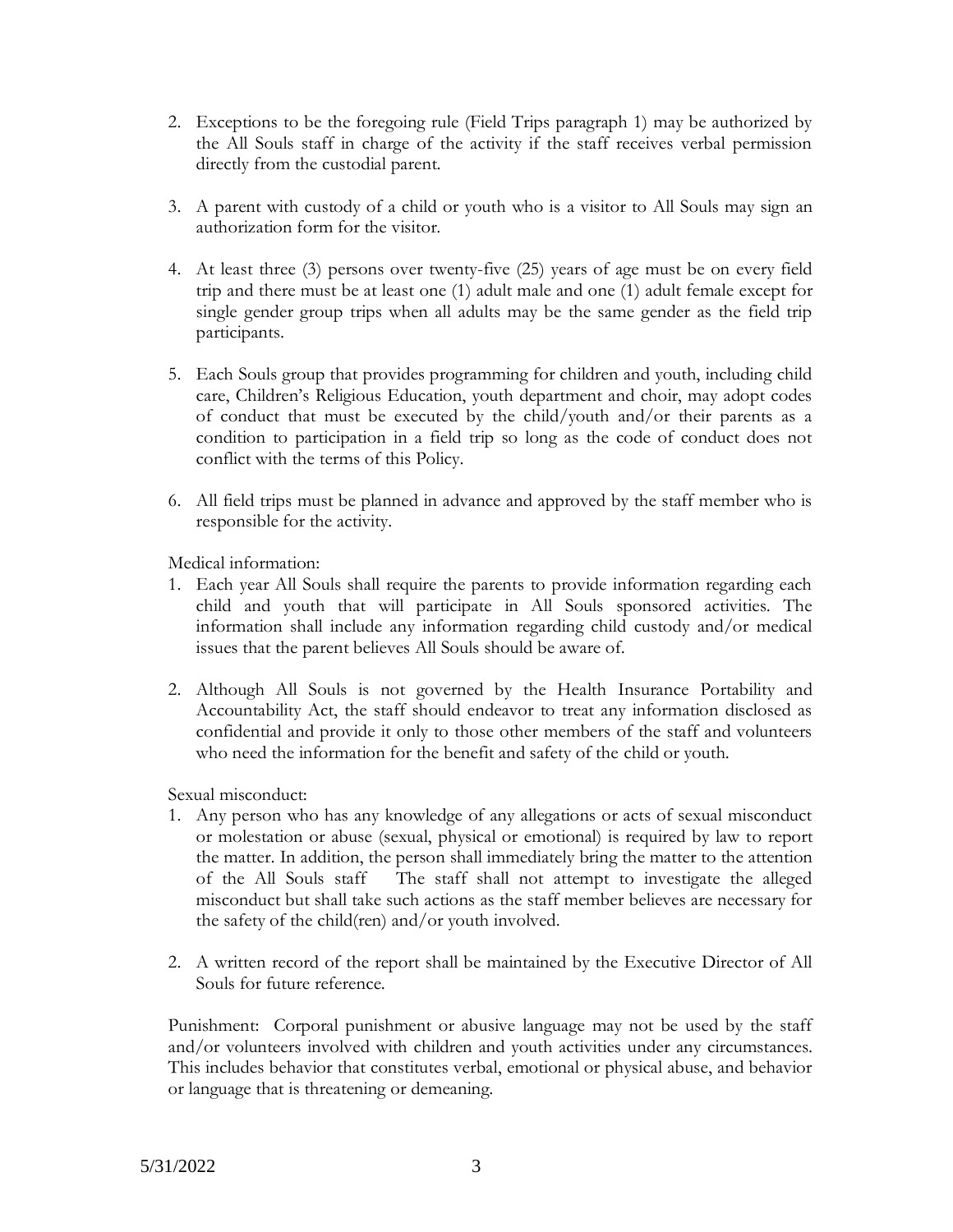- 2. Exceptions to be the foregoing rule (Field Trips paragraph 1) may be authorized by the All Souls staff in charge of the activity if the staff receives verbal permission directly from the custodial parent.
- 3. A parent with custody of a child or youth who is a visitor to All Souls may sign an authorization form for the visitor.
- 4. At least three (3) persons over twenty-five (25) years of age must be on every field trip and there must be at least one (1) adult male and one (1) adult female except for single gender group trips when all adults may be the same gender as the field trip participants.
- 5. Each Souls group that provides programming for children and youth, including child care, Children's Religious Education, youth department and choir, may adopt codes of conduct that must be executed by the child/youth and/or their parents as a condition to participation in a field trip so long as the code of conduct does not conflict with the terms of this Policy.
- 6. All field trips must be planned in advance and approved by the staff member who is responsible for the activity.

Medical information:

- 1. Each year All Souls shall require the parents to provide information regarding each child and youth that will participate in All Souls sponsored activities. The information shall include any information regarding child custody and/or medical issues that the parent believes All Souls should be aware of.
- 2. Although All Souls is not governed by the Health Insurance Portability and Accountability Act, the staff should endeavor to treat any information disclosed as confidential and provide it only to those other members of the staff and volunteers who need the information for the benefit and safety of the child or youth.

Sexual misconduct:

- 1. Any person who has any knowledge of any allegations or acts of sexual misconduct or molestation or abuse (sexual, physical or emotional) is required by law to report the matter. In addition, the person shall immediately bring the matter to the attention of the All Souls staff The staff shall not attempt to investigate the alleged misconduct but shall take such actions as the staff member believes are necessary for the safety of the child(ren) and/or youth involved.
- 2. A written record of the report shall be maintained by the Executive Director of All Souls for future reference.

Punishment: Corporal punishment or abusive language may not be used by the staff and/or volunteers involved with children and youth activities under any circumstances. This includes behavior that constitutes verbal, emotional or physical abuse, and behavior or language that is threatening or demeaning.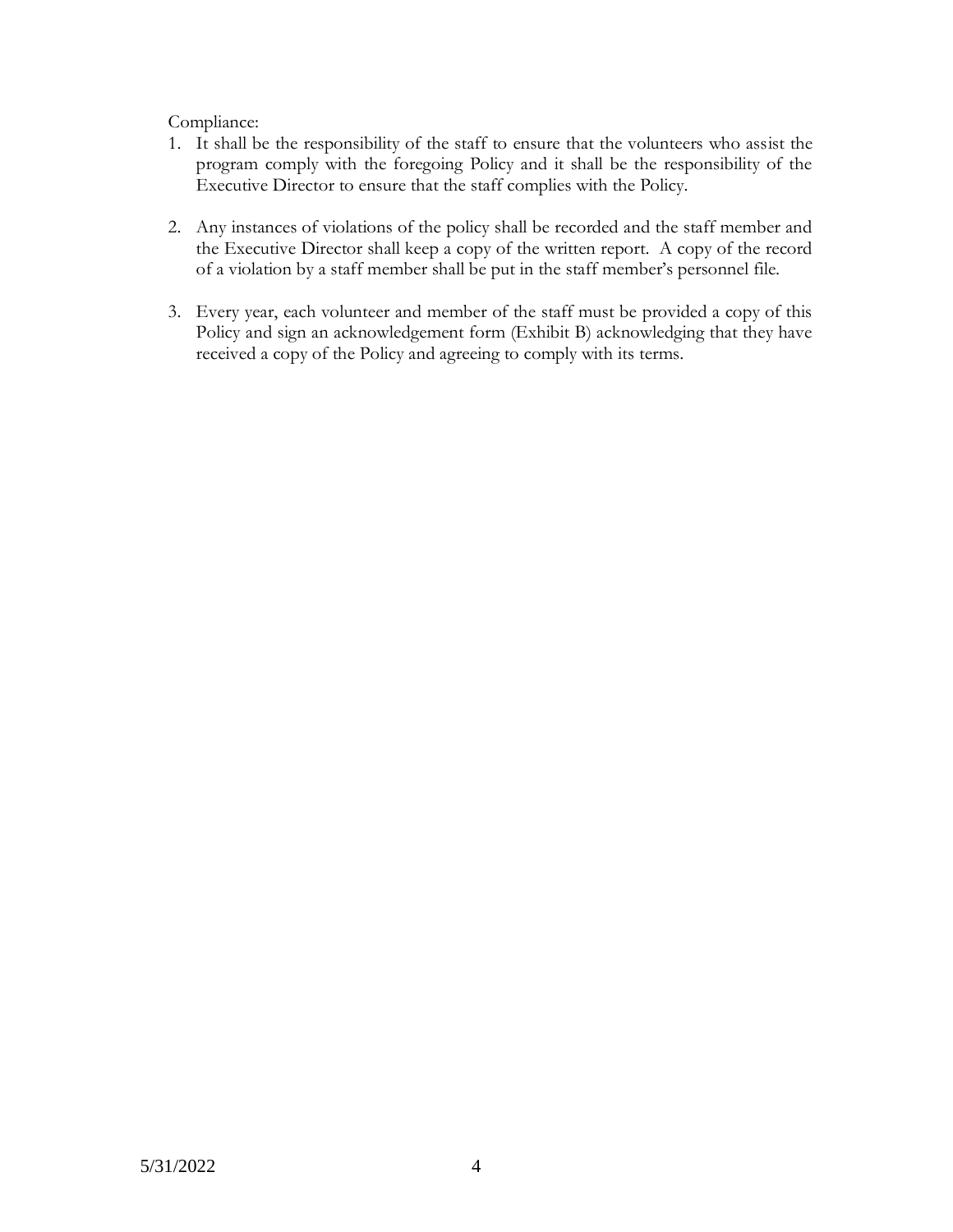Compliance:

- 1. It shall be the responsibility of the staff to ensure that the volunteers who assist the program comply with the foregoing Policy and it shall be the responsibility of the Executive Director to ensure that the staff complies with the Policy.
- 2. Any instances of violations of the policy shall be recorded and the staff member and the Executive Director shall keep a copy of the written report. A copy of the record of a violation by a staff member shall be put in the staff member's personnel file.
- 3. Every year, each volunteer and member of the staff must be provided a copy of this Policy and sign an acknowledgement form (Exhibit B) acknowledging that they have received a copy of the Policy and agreeing to comply with its terms.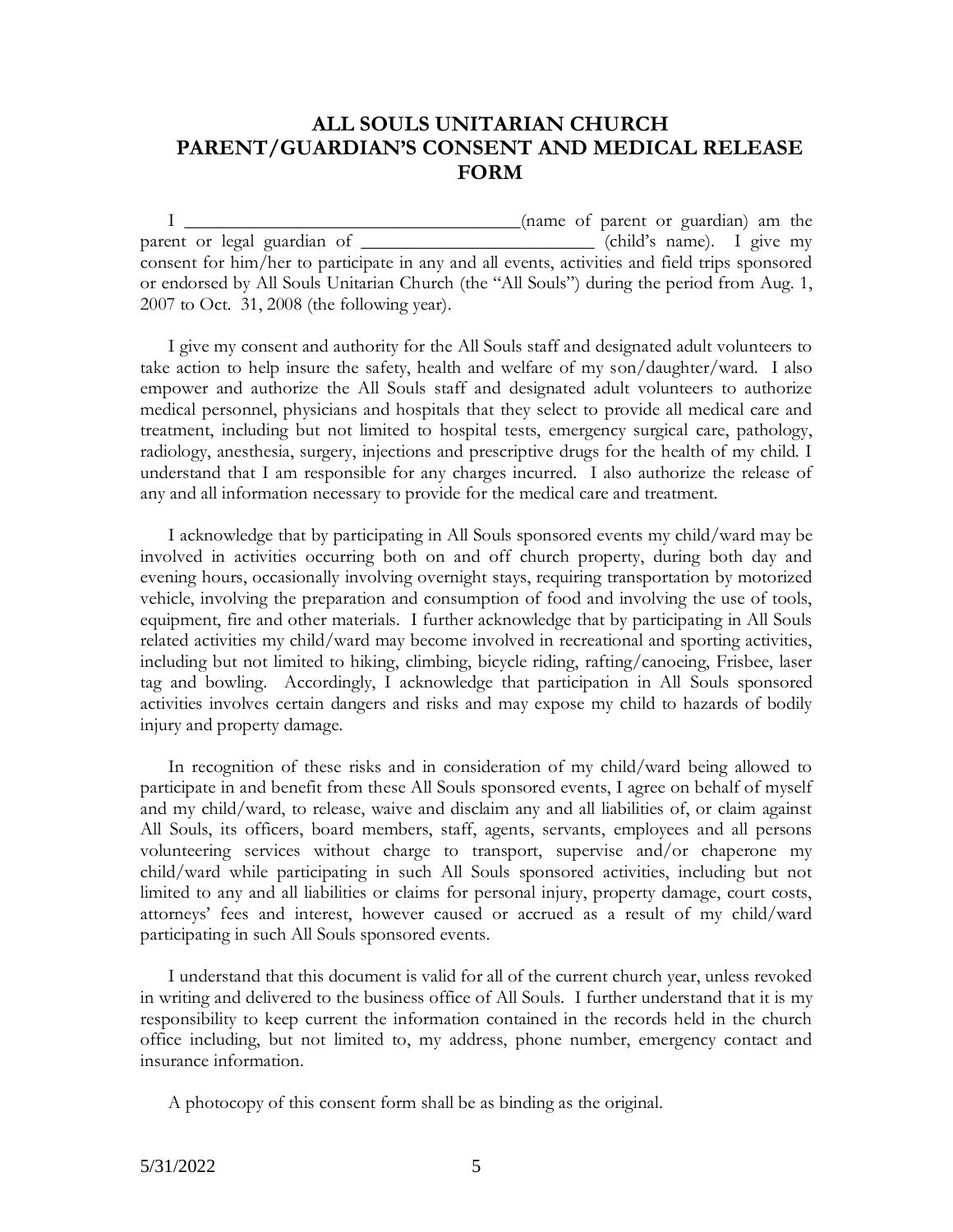# **ALL SOULS UNITARIAN CHURCH PARENT/GUARDIAN'S CONSENT AND MEDICAL RELEASE FORM**

I \_\_\_\_\_\_\_\_\_\_\_\_\_\_\_\_\_\_\_\_\_\_\_\_\_\_\_\_\_\_\_\_\_\_\_\_(name of parent or guardian) am the parent or legal guardian of \_\_\_\_\_\_\_\_\_\_\_\_\_\_\_\_\_\_\_\_\_\_\_\_\_ (child's name). I give my consent for him/her to participate in any and all events, activities and field trips sponsored or endorsed by All Souls Unitarian Church (the "All Souls") during the period from Aug. 1, 2007 to Oct. 31, 2008 (the following year).

I give my consent and authority for the All Souls staff and designated adult volunteers to take action to help insure the safety, health and welfare of my son/daughter/ward. I also empower and authorize the All Souls staff and designated adult volunteers to authorize medical personnel, physicians and hospitals that they select to provide all medical care and treatment, including but not limited to hospital tests, emergency surgical care, pathology, radiology, anesthesia, surgery, injections and prescriptive drugs for the health of my child. I understand that I am responsible for any charges incurred. I also authorize the release of any and all information necessary to provide for the medical care and treatment.

I acknowledge that by participating in All Souls sponsored events my child/ward may be involved in activities occurring both on and off church property, during both day and evening hours, occasionally involving overnight stays, requiring transportation by motorized vehicle, involving the preparation and consumption of food and involving the use of tools, equipment, fire and other materials. I further acknowledge that by participating in All Souls related activities my child/ward may become involved in recreational and sporting activities, including but not limited to hiking, climbing, bicycle riding, rafting/canoeing, Frisbee, laser tag and bowling. Accordingly, I acknowledge that participation in All Souls sponsored activities involves certain dangers and risks and may expose my child to hazards of bodily injury and property damage.

In recognition of these risks and in consideration of my child/ward being allowed to participate in and benefit from these All Souls sponsored events, I agree on behalf of myself and my child/ward, to release, waive and disclaim any and all liabilities of, or claim against All Souls, its officers, board members, staff, agents, servants, employees and all persons volunteering services without charge to transport, supervise and/or chaperone my child/ward while participating in such All Souls sponsored activities, including but not limited to any and all liabilities or claims for personal injury, property damage, court costs, attorneys' fees and interest, however caused or accrued as a result of my child/ward participating in such All Souls sponsored events.

I understand that this document is valid for all of the current church year, unless revoked in writing and delivered to the business office of All Souls. I further understand that it is my responsibility to keep current the information contained in the records held in the church office including, but not limited to, my address, phone number, emergency contact and insurance information.

A photocopy of this consent form shall be as binding as the original.